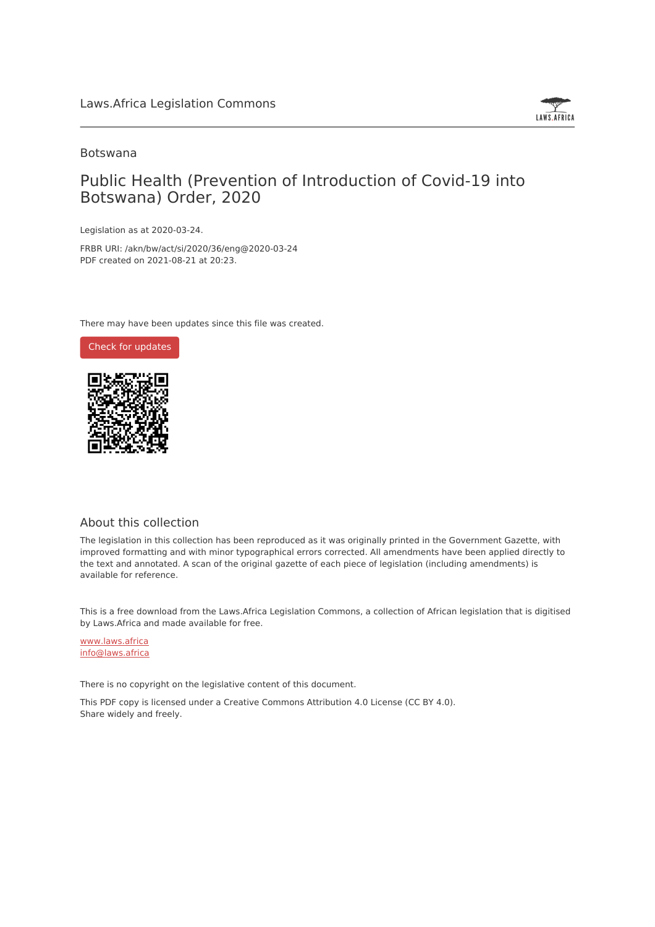

### Botswana

## Public Health (Prevention of Introduction of Covid-19 into Botswana) Order, 2020

Legislation as at 2020-03-24.

FRBR URI: /akn/bw/act/si/2020/36/eng@2020-03-24 PDF created on 2021-08-21 at 20:23.

There may have been updates since this file was created.



### About this collection

The legislation in this collection has been reproduced as it was originally printed in the Government Gazette, with improved formatting and with minor typographical errors corrected. All amendments have been applied directly to the text and annotated. A scan of the original gazette of each piece of legislation (including amendments) is available for reference.

This is a free download from the Laws.Africa Legislation Commons, a collection of African legislation that is digitised by Laws.Africa and made available for free.

[www.laws.africa](https://www.laws.africa) [info@laws.africa](mailto:info@laws.africa)

There is no copyright on the legislative content of this document.

This PDF copy is licensed under a Creative Commons Attribution 4.0 License (CC BY 4.0). Share widely and freely.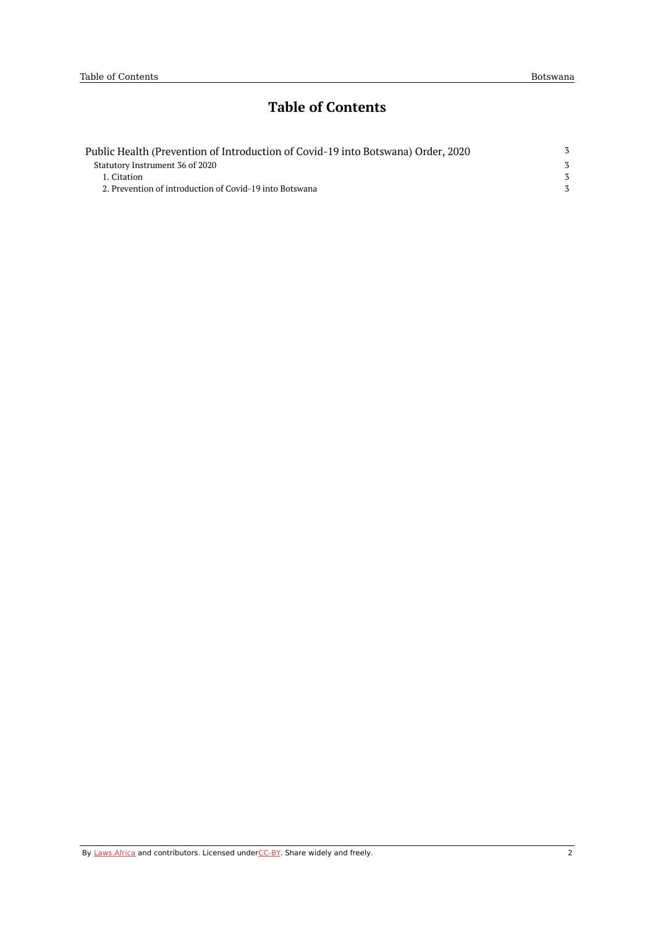## **Table of Contents**

| Public Health (Prevention of Introduction of Covid-19 into Botswana) Order, 2020 |  |
|----------------------------------------------------------------------------------|--|
| Statutory Instrument 36 of 2020                                                  |  |
| 1. Citation                                                                      |  |
| 2. Prevention of introduction of Covid-19 into Botswana                          |  |